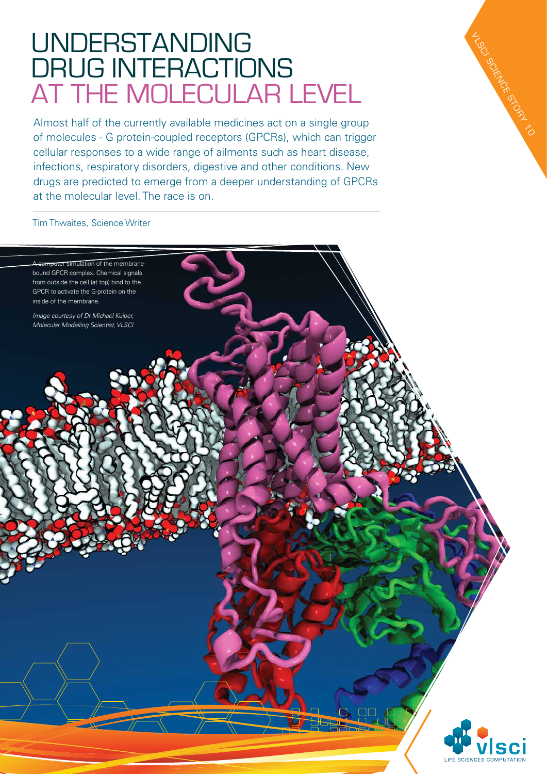## **UNDERSTANDING** drug interactions at the molecular level

**TLSC** 

SCIENCE STORY 10

Almost half of the currently available medicines act on a single group of molecules - G protein-coupled receptors (GPCRs), which can trigger cellular responses to a wide range of ailments such as heart disease, infections, respiratory disorders, digestive and other conditions. New drugs are predicted to emerge from a deeper understanding of GPCRs at the molecular level. The race is on.

Tim Thwaites, Science Writer